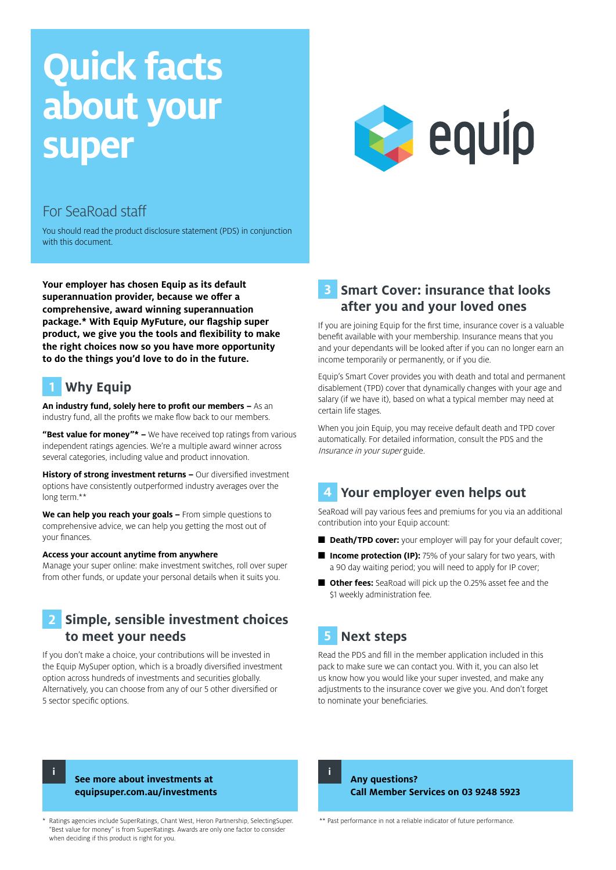# **Quick facts about your super**



### For SeaRoad staff

You should read the product disclosure statement (PDS) in conjunction with this document.

**Your employer has chosen Equip as its default superannuation provider, because we offer a comprehensive, award winning superannuation package.\* With Equip MyFuture, our flagship super product, we give you the tools and flexibility to make the right choices now so you have more opportunity to do the things you'd love to do in the future.**

# **1 Why Equip**

**An industry fund, solely here to profit our members –** As an industry fund, all the profits we make flow back to our members.

**"Best value for money"\* –** We have received top ratings from various independent ratings agencies. We're a multiple award winner across several categories, including value and product innovation.

**History of strong investment returns –** Our diversified investment options have consistently outperformed industry averages over the long term.\*\*

**We can help you reach your goals –** From simple questions to comprehensive advice, we can help you getting the most out of your finances.

#### **Access your account anytime from anywhere**

Manage your super online: make investment switches, roll over super from other funds, or update your personal details when it suits you.

## **2 Simple, sensible investment choices to meet your needs**

If you don't make a choice, your contributions will be invested in the Equip MySuper option, which is a broadly diversified investment option across hundreds of investments and securities globally. Alternatively, you can choose from any of our 5 other diversified or 5 sector specific options.

#### **3 Smart Cover: insurance that looks after you and your loved ones**

If you are joining Equip for the first time, insurance cover is a valuable benefit available with your membership. Insurance means that you and your dependants will be looked after if you can no longer earn an income temporarily or permanently, or if you die.

Equip's Smart Cover provides you with death and total and permanent disablement (TPD) cover that dynamically changes with your age and salary (if we have it), based on what a typical member may need at certain life stages.

When you join Equip, you may receive default death and TPD cover automatically. For detailed information, consult the PDS and the Insurance in your super guide.

# **4 Your employer even helps out**

SeaRoad will pay various fees and premiums for you via an additional contribution into your Equip account:

- **Death/TPD cover:** your employer will pay for your default cover;
- **Income protection (IP):** 75% of your salary for two years, with a 90 day waiting period; you will need to apply for IP cover;
- **Other fees:** SeaRoad will pick up the 0.25% asset fee and the \$1 weekly administration fee.

# **5 Next steps**

Read the PDS and fill in the member application included in this pack to make sure we can contact you. With it, you can also let us know how you would like your super invested, and make any adjustments to the insurance cover we give you. And don't forget to nominate your beneficiaries.

**i**

#### **See more about investments at equipsuper.com.au/investments**

Ratings agencies include SuperRatings, Chant West, Heron Partnership, SelectingSuper. "Best value for money" is from SuperRatings. Awards are only one factor to consider when deciding if this product is right for you.

**i**

**Any questions? Call Member Services on 03 9248 5923**

\*\* Past performance in not a reliable indicator of future performance.